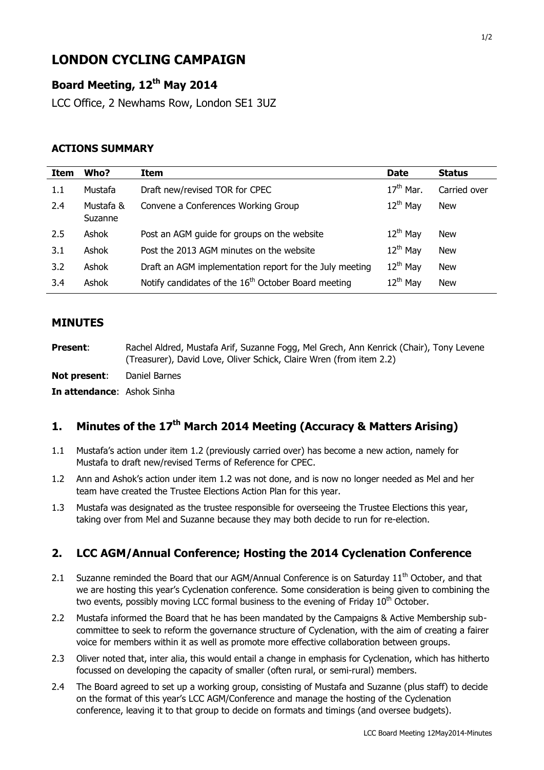# **LONDON CYCLING CAMPAIGN**

# **Board Meeting, 12 th May 2014**

LCC Office, 2 Newhams Row, London SE1 3UZ

### **ACTIONS SUMMARY**

| Item | Who?                 | Item                                                            | <b>Date</b>          | <b>Status</b> |
|------|----------------------|-----------------------------------------------------------------|----------------------|---------------|
| 1.1  | Mustafa              | Draft new/revised TOR for CPEC                                  | $17th$ Mar.          | Carried over  |
| 2.4  | Mustafa &<br>Suzanne | Convene a Conferences Working Group                             | $12^{th}$ May        | <b>New</b>    |
| 2.5  | Ashok                | Post an AGM guide for groups on the website                     | $12^{th}$ May        | <b>New</b>    |
| 3.1  | Ashok                | Post the 2013 AGM minutes on the website                        | $12^{th}$ May        | <b>New</b>    |
| 3.2  | Ashok                | Draft an AGM implementation report for the July meeting         | $12^{th}$ May        | <b>New</b>    |
| 3.4  | Ashok                | Notify candidates of the 16 <sup>th</sup> October Board meeting | 12 <sup>th</sup> May | <b>New</b>    |

#### **MINUTES**

**Present**: Rachel Aldred, Mustafa Arif, Suzanne Fogg, Mel Grech, Ann Kenrick (Chair), Tony Levene (Treasurer), David Love, Oliver Schick, Claire Wren (from item 2.2)

**Not present**: Daniel Barnes

**In attendance**: Ashok Sinha

# **1. Minutes of the 17th March 2014 Meeting (Accuracy & Matters Arising)**

- 1.1 Mustafa's action under item 1.2 (previously carried over) has become a new action, namely for Mustafa to draft new/revised Terms of Reference for CPEC.
- 1.2 Ann and Ashok's action under item 1.2 was not done, and is now no longer needed as Mel and her team have created the Trustee Elections Action Plan for this year.
- 1.3 Mustafa was designated as the trustee responsible for overseeing the Trustee Elections this year, taking over from Mel and Suzanne because they may both decide to run for re-election.

## **2. LCC AGM/Annual Conference; Hosting the 2014 Cyclenation Conference**

- 2.1 Suzanne reminded the Board that our AGM/Annual Conference is on Saturday  $11<sup>th</sup>$  October, and that we are hosting this year's Cyclenation conference. Some consideration is being given to combining the two events, possibly moving LCC formal business to the evening of Friday 10<sup>th</sup> October.
- 2.2 Mustafa informed the Board that he has been mandated by the Campaigns & Active Membership subcommittee to seek to reform the governance structure of Cyclenation, with the aim of creating a fairer voice for members within it as well as promote more effective collaboration between groups.
- 2.3 Oliver noted that, inter alia, this would entail a change in emphasis for Cyclenation, which has hitherto focussed on developing the capacity of smaller (often rural, or semi-rural) members.
- 2.4 The Board agreed to set up a working group, consisting of Mustafa and Suzanne (plus staff) to decide on the format of this year's LCC AGM/Conference and manage the hosting of the Cyclenation conference, leaving it to that group to decide on formats and timings (and oversee budgets).